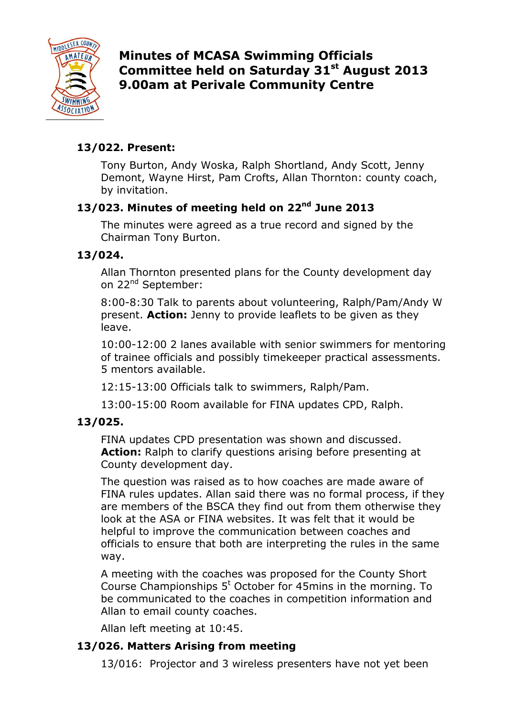

**Minutes of MCASA Swimming Officials Committee held on Saturday 31st August 2013 9.00am at Perivale Community Centre**

# **13/022. Present:**

Tony Burton, Andy Woska, Ralph Shortland, Andy Scott, Jenny Demont, Wayne Hirst, Pam Crofts, Allan Thornton: county coach, by invitation.

# **13/023. Minutes of meeting held on 22nd June 2013**

The minutes were agreed as a true record and signed by the Chairman Tony Burton.

# **13/024.**

Allan Thornton presented plans for the County development day on 22<sup>nd</sup> September:

8:00-8:30 Talk to parents about volunteering, Ralph/Pam/Andy W present. **Action:** Jenny to provide leaflets to be given as they leave.

10:00-12:00 2 lanes available with senior swimmers for mentoring of trainee officials and possibly timekeeper practical assessments. 5 mentors available.

12:15-13:00 Officials talk to swimmers, Ralph/Pam.

13:00-15:00 Room available for FINA updates CPD, Ralph.

# **13/025.**

FINA updates CPD presentation was shown and discussed. **Action:** Ralph to clarify questions arising before presenting at County development day.

The question was raised as to how coaches are made aware of FINA rules updates. Allan said there was no formal process, if they are members of the BSCA they find out from them otherwise they look at the ASA or FINA websites. It was felt that it would be helpful to improve the communication between coaches and officials to ensure that both are interpreting the rules in the same way.

A meeting with the coaches was proposed for the County Short Course Championships  $5<sup>t</sup>$  October for 45mins in the morning. To be communicated to the coaches in competition information and Allan to email county coaches.

Allan left meeting at 10:45.

# **13/026. Matters Arising from meeting**

13/016: Projector and 3 wireless presenters have not yet been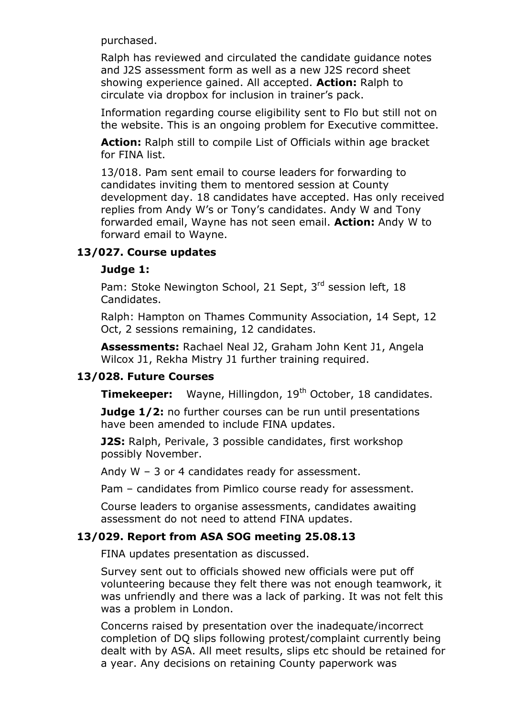purchased.

Ralph has reviewed and circulated the candidate guidance notes and J2S assessment form as well as a new J2S record sheet showing experience gained. All accepted. **Action:** Ralph to circulate via dropbox for inclusion in trainer's pack.

Information regarding course eligibility sent to Flo but still not on the website. This is an ongoing problem for Executive committee.

**Action:** Ralph still to compile List of Officials within age bracket for FINA list.

13/018. Pam sent email to course leaders for forwarding to candidates inviting them to mentored session at County development day. 18 candidates have accepted. Has only received replies from Andy W's or Tony's candidates. Andy W and Tony forwarded email, Wayne has not seen email. **Action:** Andy W to forward email to Wayne.

### **13/027. Course updates**

### **Judge 1:**

Pam: Stoke Newington School, 21 Sept, 3rd session left, 18 Candidates.

Ralph: Hampton on Thames Community Association, 14 Sept, 12 Oct, 2 sessions remaining, 12 candidates.

**Assessments:** Rachael Neal J2, Graham John Kent J1, Angela Wilcox J1, Rekha Mistry J1 further training required.

#### **13/028. Future Courses**

**Timekeeper:** Wayne, Hillingdon, 19<sup>th</sup> October, 18 candidates.

**Judge 1/2:** no further courses can be run until presentations have been amended to include FINA updates.

**J2S:** Ralph, Perivale, 3 possible candidates, first workshop possibly November.

Andy W – 3 or 4 candidates ready for assessment.

Pam – candidates from Pimlico course ready for assessment.

Course leaders to organise assessments, candidates awaiting assessment do not need to attend FINA updates.

## **13/029. Report from ASA SOG meeting 25.08.13**

FINA updates presentation as discussed.

Survey sent out to officials showed new officials were put off volunteering because they felt there was not enough teamwork, it was unfriendly and there was a lack of parking. It was not felt this was a problem in London.

Concerns raised by presentation over the inadequate/incorrect completion of DQ slips following protest/complaint currently being dealt with by ASA. All meet results, slips etc should be retained for a year. Any decisions on retaining County paperwork was